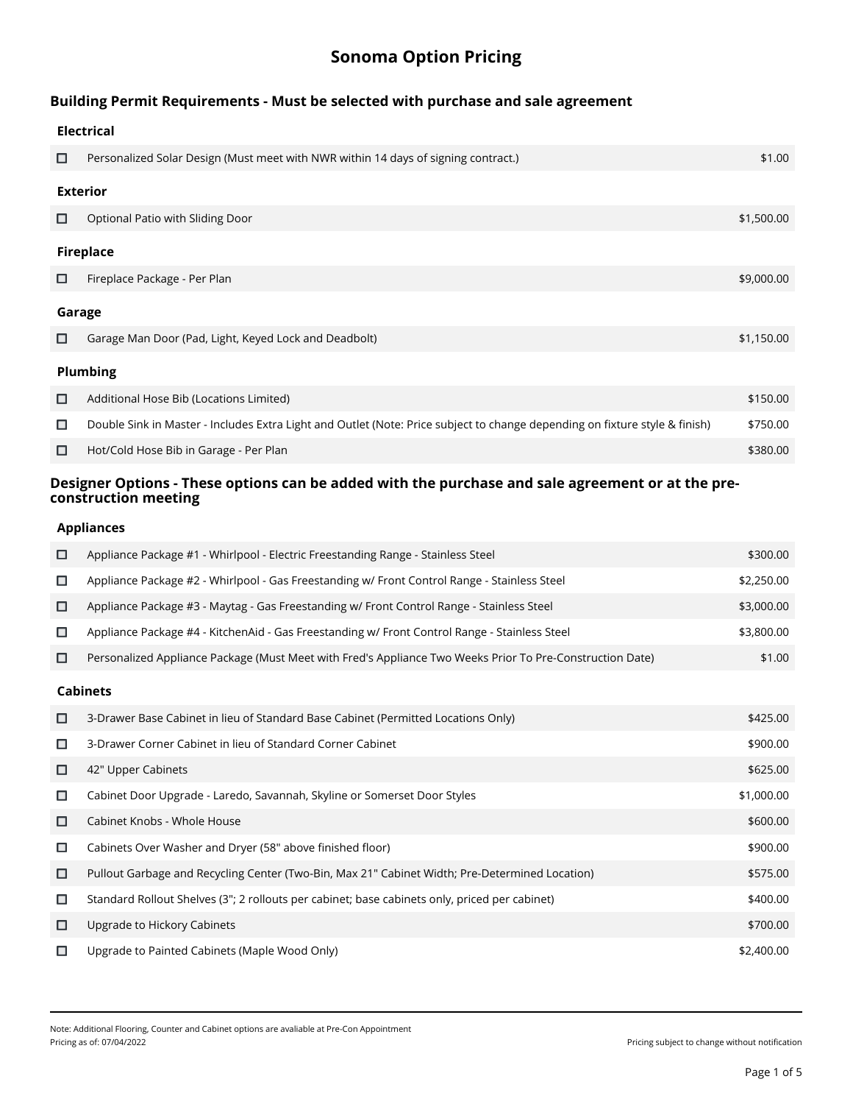# **Sonoma Option Pricing**

# **Building Permit Requirements - Must be selected with purchase and sale agreement**

|        | <b>Electrical</b>                                                                                                           |            |  |
|--------|-----------------------------------------------------------------------------------------------------------------------------|------------|--|
| □      | Personalized Solar Design (Must meet with NWR within 14 days of signing contract.)                                          | \$1.00     |  |
|        | <b>Exterior</b>                                                                                                             |            |  |
| □      | Optional Patio with Sliding Door                                                                                            | \$1,500.00 |  |
|        | <b>Fireplace</b>                                                                                                            |            |  |
| □      | Fireplace Package - Per Plan                                                                                                | \$9,000.00 |  |
| Garage |                                                                                                                             |            |  |
| □      | Garage Man Door (Pad, Light, Keyed Lock and Deadbolt)                                                                       | \$1,150.00 |  |
|        | Plumbing                                                                                                                    |            |  |
| □      | Additional Hose Bib (Locations Limited)                                                                                     | \$150.00   |  |
| □      | Double Sink in Master - Includes Extra Light and Outlet (Note: Price subject to change depending on fixture style & finish) | \$750.00   |  |
| □      | Hot/Cold Hose Bib in Garage - Per Plan                                                                                      | \$380.00   |  |
|        |                                                                                                                             |            |  |

# **Designer Options - These options can be added with the purchase and sale agreement or at the preconstruction meeting**

#### **Appliances**

| □      | Appliance Package #1 - Whirlpool - Electric Freestanding Range - Stainless Steel                          | \$300.00   |  |  |
|--------|-----------------------------------------------------------------------------------------------------------|------------|--|--|
| $\Box$ | Appliance Package #2 - Whirlpool - Gas Freestanding w/ Front Control Range - Stainless Steel              | \$2,250.00 |  |  |
| □      | Appliance Package #3 - Maytag - Gas Freestanding w/ Front Control Range - Stainless Steel                 | \$3,000.00 |  |  |
| □      | Appliance Package #4 - KitchenAid - Gas Freestanding w/ Front Control Range - Stainless Steel             | \$3,800.00 |  |  |
| □      | Personalized Appliance Package (Must Meet with Fred's Appliance Two Weeks Prior To Pre-Construction Date) | \$1.00     |  |  |
|        | <b>Cabinets</b>                                                                                           |            |  |  |
| □      | 3-Drawer Base Cabinet in lieu of Standard Base Cabinet (Permitted Locations Only)                         | \$425.00   |  |  |
| □      | 3-Drawer Corner Cabinet in lieu of Standard Corner Cabinet                                                | \$900.00   |  |  |
| □      | 42" Upper Cabinets                                                                                        | \$625.00   |  |  |
| □      | Cabinet Door Upgrade - Laredo, Savannah, Skyline or Somerset Door Styles                                  | \$1,000.00 |  |  |
| □      | Cabinet Knobs - Whole House                                                                               | \$600.00   |  |  |
| □      | Cabinets Over Washer and Dryer (58" above finished floor)                                                 | \$900.00   |  |  |
| □      | Pullout Garbage and Recycling Center (Two-Bin, Max 21" Cabinet Width; Pre-Determined Location)            | \$575.00   |  |  |
| □      | Standard Rollout Shelves (3"; 2 rollouts per cabinet; base cabinets only, priced per cabinet)             | \$400.00   |  |  |
| □      | Upgrade to Hickory Cabinets                                                                               | \$700.00   |  |  |
| □      | Upgrade to Painted Cabinets (Maple Wood Only)                                                             | \$2,400.00 |  |  |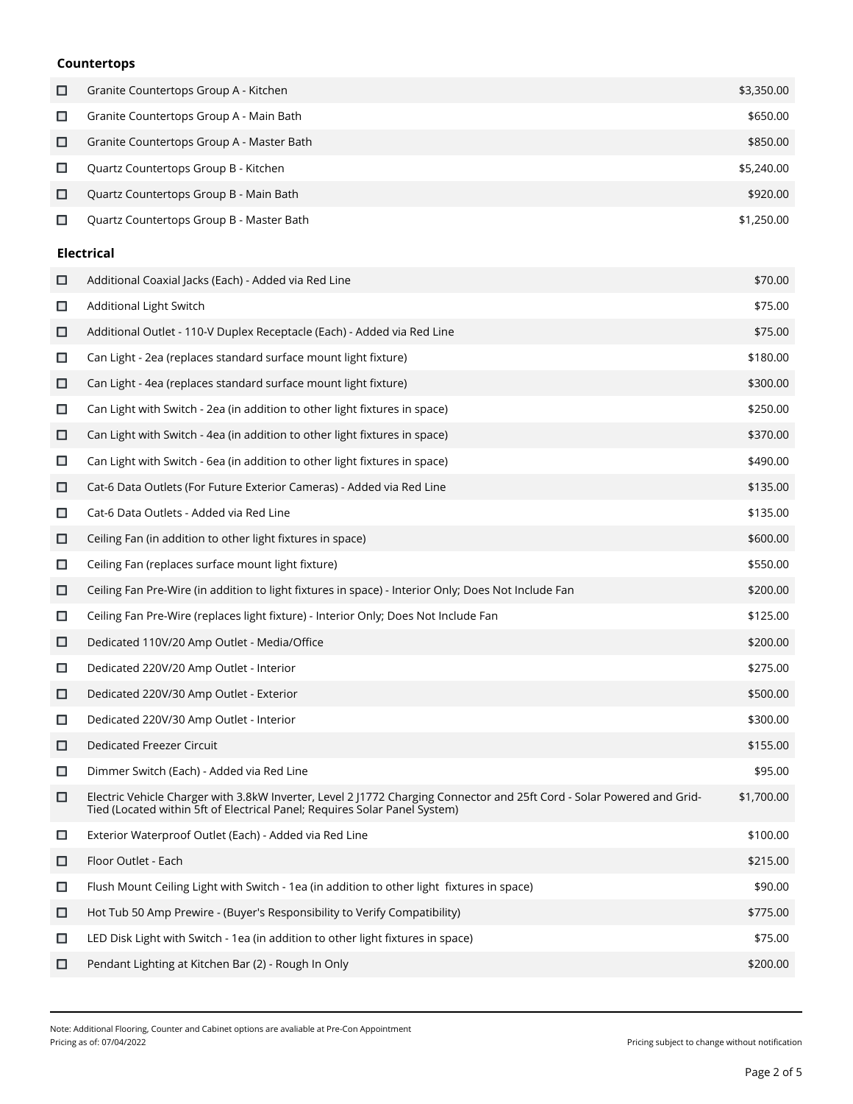## **Countertops**

| □      | Granite Countertops Group A - Kitchen                                                                                                                                                                | \$3,350.00 |
|--------|------------------------------------------------------------------------------------------------------------------------------------------------------------------------------------------------------|------------|
| $\Box$ | Granite Countertops Group A - Main Bath                                                                                                                                                              | \$650.00   |
| О      | Granite Countertops Group A - Master Bath                                                                                                                                                            | \$850.00   |
| □      | Quartz Countertops Group B - Kitchen                                                                                                                                                                 | \$5,240.00 |
| □      | Quartz Countertops Group B - Main Bath                                                                                                                                                               | \$920.00   |
| □      | Quartz Countertops Group B - Master Bath                                                                                                                                                             | \$1,250.00 |
|        | <b>Electrical</b>                                                                                                                                                                                    |            |
| □      | Additional Coaxial Jacks (Each) - Added via Red Line                                                                                                                                                 | \$70.00    |
| $\Box$ | Additional Light Switch                                                                                                                                                                              | \$75.00    |
| □      | Additional Outlet - 110-V Duplex Receptacle (Each) - Added via Red Line                                                                                                                              | \$75.00    |
| □      | Can Light - 2ea (replaces standard surface mount light fixture)                                                                                                                                      | \$180.00   |
| □      | Can Light - 4ea (replaces standard surface mount light fixture)                                                                                                                                      | \$300.00   |
| □      | Can Light with Switch - 2ea (in addition to other light fixtures in space)                                                                                                                           | \$250.00   |
| □      | Can Light with Switch - 4ea (in addition to other light fixtures in space)                                                                                                                           | \$370.00   |
| □      | Can Light with Switch - 6ea (in addition to other light fixtures in space)                                                                                                                           | \$490.00   |
| □      | Cat-6 Data Outlets (For Future Exterior Cameras) - Added via Red Line                                                                                                                                | \$135.00   |
| □      | Cat-6 Data Outlets - Added via Red Line                                                                                                                                                              | \$135.00   |
| □      | Ceiling Fan (in addition to other light fixtures in space)                                                                                                                                           | \$600.00   |
| □      | Ceiling Fan (replaces surface mount light fixture)                                                                                                                                                   | \$550.00   |
| □      | Ceiling Fan Pre-Wire (in addition to light fixtures in space) - Interior Only; Does Not Include Fan                                                                                                  | \$200.00   |
| □      | Ceiling Fan Pre-Wire (replaces light fixture) - Interior Only; Does Not Include Fan                                                                                                                  | \$125.00   |
| □      | Dedicated 110V/20 Amp Outlet - Media/Office                                                                                                                                                          | \$200.00   |
| □      | Dedicated 220V/20 Amp Outlet - Interior                                                                                                                                                              | \$275.00   |
| □      | Dedicated 220V/30 Amp Outlet - Exterior                                                                                                                                                              | \$500.00   |
| □      | Dedicated 220V/30 Amp Outlet - Interior                                                                                                                                                              | \$300.00   |
| □      | Dedicated Freezer Circuit                                                                                                                                                                            | \$155.00   |
| □      | Dimmer Switch (Each) - Added via Red Line                                                                                                                                                            | \$95.00    |
| □      | Electric Vehicle Charger with 3.8kW Inverter, Level 2 J1772 Charging Connector and 25ft Cord - Solar Powered and Grid-<br>Tied (Located within 5ft of Electrical Panel; Requires Solar Panel System) | \$1,700.00 |
| $\Box$ | Exterior Waterproof Outlet (Each) - Added via Red Line                                                                                                                                               | \$100.00   |
| □      | Floor Outlet - Each                                                                                                                                                                                  | \$215.00   |
| □      | Flush Mount Ceiling Light with Switch - 1ea (in addition to other light fixtures in space)                                                                                                           | \$90.00    |
| □      | Hot Tub 50 Amp Prewire - (Buyer's Responsibility to Verify Compatibility)                                                                                                                            | \$775.00   |
| □      | LED Disk Light with Switch - 1ea (in addition to other light fixtures in space)                                                                                                                      | \$75.00    |
| □      | Pendant Lighting at Kitchen Bar (2) - Rough In Only                                                                                                                                                  | \$200.00   |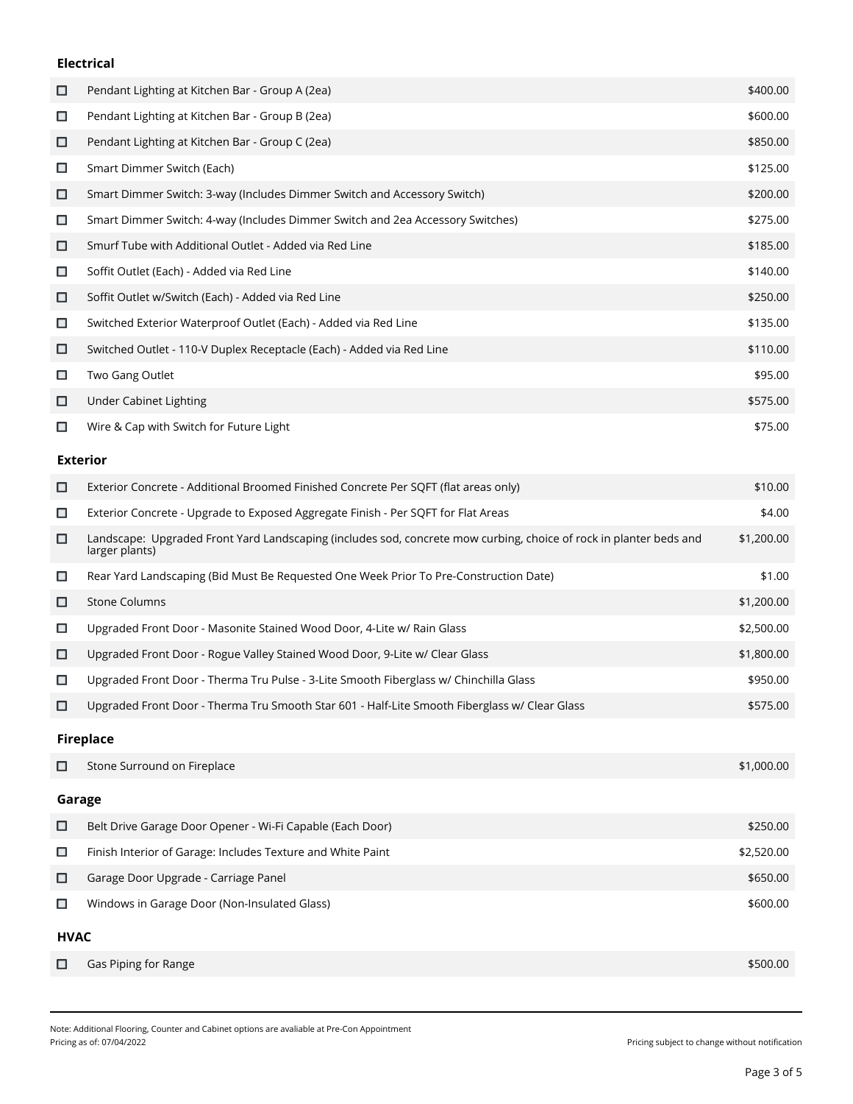#### **Electrical**

| □ | Pendant Lighting at Kitchen Bar - Group A (2ea)                                | \$400.00 |
|---|--------------------------------------------------------------------------------|----------|
| □ | Pendant Lighting at Kitchen Bar - Group B (2ea)                                | \$600.00 |
| □ | Pendant Lighting at Kitchen Bar - Group C (2ea)                                | \$850.00 |
| □ | Smart Dimmer Switch (Each)                                                     | \$125.00 |
| □ | Smart Dimmer Switch: 3-way (Includes Dimmer Switch and Accessory Switch)       | \$200.00 |
| □ | Smart Dimmer Switch: 4-way (Includes Dimmer Switch and 2ea Accessory Switches) | \$275.00 |
| □ | Smurf Tube with Additional Outlet - Added via Red Line                         | \$185.00 |
| □ | Soffit Outlet (Each) - Added via Red Line                                      | \$140.00 |
| □ | Soffit Outlet w/Switch (Each) - Added via Red Line                             | \$250.00 |
| □ | Switched Exterior Waterproof Outlet (Each) - Added via Red Line                | \$135.00 |
| □ | Switched Outlet - 110-V Duplex Receptacle (Each) - Added via Red Line          | \$110.00 |
| □ | Two Gang Outlet                                                                | \$95.00  |
| □ | Under Cabinet Lighting                                                         | \$575.00 |
| □ | Wire & Cap with Switch for Future Light                                        | \$75.00  |

#### **Exterior**

| □                | Exterior Concrete - Additional Broomed Finished Concrete Per SQFT (flat areas only)                                                  | \$10.00    |
|------------------|--------------------------------------------------------------------------------------------------------------------------------------|------------|
| □                | Exterior Concrete - Upgrade to Exposed Aggregate Finish - Per SQFT for Flat Areas                                                    | \$4.00     |
| □                | Landscape: Upgraded Front Yard Landscaping (includes sod, concrete mow curbing, choice of rock in planter beds and<br>larger plants) | \$1,200.00 |
| □                | Rear Yard Landscaping (Bid Must Be Requested One Week Prior To Pre-Construction Date)                                                | \$1.00     |
| □                | <b>Stone Columns</b>                                                                                                                 | \$1,200.00 |
| □                | Upgraded Front Door - Masonite Stained Wood Door, 4-Lite w/ Rain Glass                                                               | \$2,500.00 |
| □                | Upgraded Front Door - Rogue Valley Stained Wood Door, 9-Lite w/ Clear Glass                                                          | \$1,800.00 |
| □                | Upgraded Front Door - Therma Tru Pulse - 3-Lite Smooth Fiberglass w/ Chinchilla Glass                                                | \$950.00   |
| □                | Upgraded Front Door - Therma Tru Smooth Star 601 - Half-Lite Smooth Fiberglass w/ Clear Glass                                        | \$575.00   |
| <b>Fireplace</b> |                                                                                                                                      |            |
| □                | Stone Surround on Fireplace                                                                                                          | \$1,000.00 |
| Garage           |                                                                                                                                      |            |
|                  |                                                                                                                                      |            |

|             | Belt Drive Garage Door Opener - Wi-Fi Capable (Each Door)   | \$250.00   |
|-------------|-------------------------------------------------------------|------------|
| □           | Finish Interior of Garage: Includes Texture and White Paint | \$2,520.00 |
| □           | Garage Door Upgrade - Carriage Panel                        | \$650.00   |
| □           | Windows in Garage Door (Non-Insulated Glass)                | \$600.00   |
| <b>HVAC</b> |                                                             |            |
|             | Gas Piping for Range                                        | \$500.00   |

Note: Additional Flooring, Counter and Cabinet options are avaliable at Pre-Con Appointment

Pricing subject to change without notification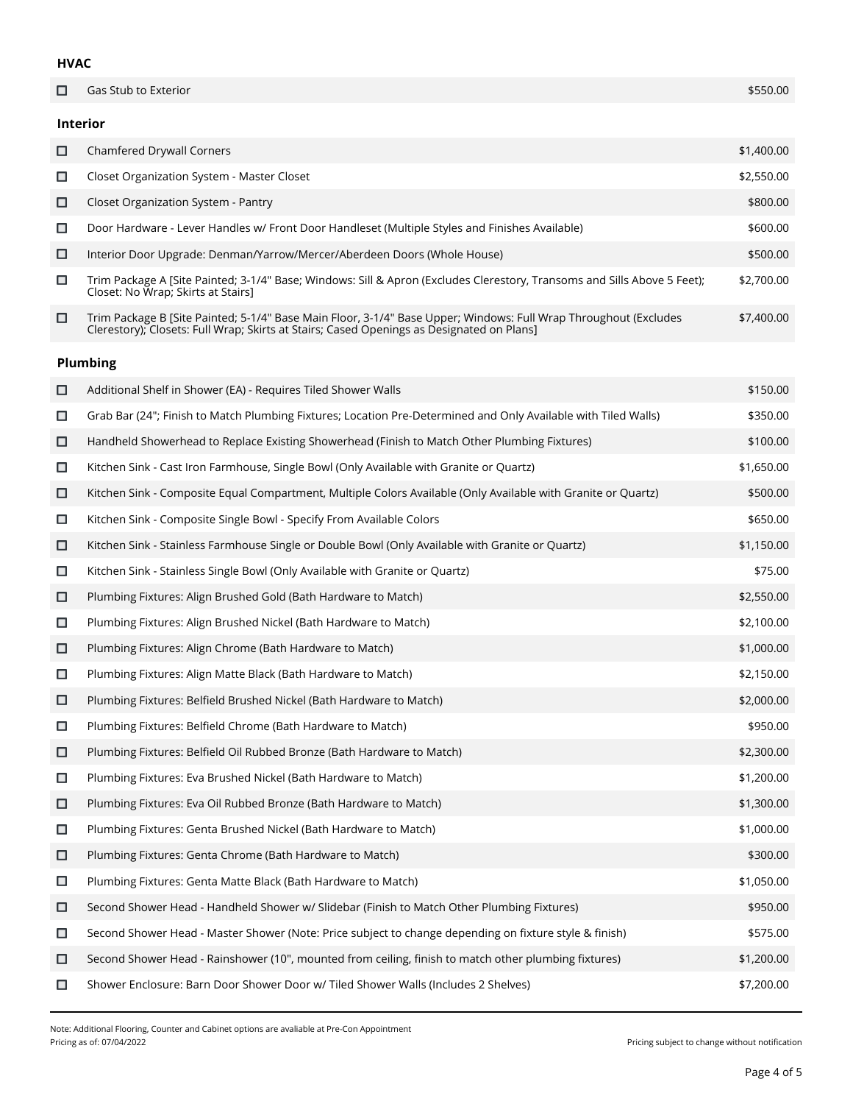#### **HVAC**

| □      | Gas Stub to Exterior                                                                                                                                                                                          | \$550.00   |
|--------|---------------------------------------------------------------------------------------------------------------------------------------------------------------------------------------------------------------|------------|
|        | <b>Interior</b>                                                                                                                                                                                               |            |
| □      | Chamfered Drywall Corners                                                                                                                                                                                     | \$1,400.00 |
| □      | Closet Organization System - Master Closet                                                                                                                                                                    | \$2,550.00 |
| □      | Closet Organization System - Pantry                                                                                                                                                                           | \$800.00   |
| □      | Door Hardware - Lever Handles w/ Front Door Handleset (Multiple Styles and Finishes Available)                                                                                                                | \$600.00   |
| □      | Interior Door Upgrade: Denman/Yarrow/Mercer/Aberdeen Doors (Whole House)                                                                                                                                      | \$500.00   |
| $\Box$ | Trim Package A [Site Painted; 3-1/4" Base; Windows: Sill & Apron (Excludes Clerestory, Transoms and Sills Above 5 Feet);<br>Closet: No Wrap; Skirts at Stairs]                                                | \$2,700.00 |
| □      | Trim Package B [Site Painted; 5-1/4" Base Main Floor, 3-1/4" Base Upper; Windows: Full Wrap Throughout (Excludes<br>Clerestory); Closets: Full Wrap; Skirts at Stairs; Cased Openings as Designated on Plans] | \$7,400.00 |
|        | <b>Plumbing</b>                                                                                                                                                                                               |            |
| □      | Additional Shelf in Shower (EA) - Requires Tiled Shower Walls                                                                                                                                                 | \$150.00   |
| $\Box$ | Grab Bar (24"; Finish to Match Plumbing Fixtures; Location Pre-Determined and Only Available with Tiled Walls)                                                                                                | \$350.00   |
| □      | Handheld Showerhead to Replace Existing Showerhead (Finish to Match Other Plumbing Fixtures)                                                                                                                  | \$100.00   |
| $\Box$ | Kitchen Sink - Cast Iron Farmhouse, Single Bowl (Only Available with Granite or Quartz)                                                                                                                       | \$1,650.00 |
| □      | Kitchen Sink - Composite Equal Compartment, Multiple Colors Available (Only Available with Granite or Quartz)                                                                                                 | \$500.00   |
| □      | Kitchen Sink - Composite Single Bowl - Specify From Available Colors                                                                                                                                          | \$650.00   |
| □      | Kitchen Sink - Stainless Farmhouse Single or Double Bowl (Only Available with Granite or Quartz)                                                                                                              | \$1,150.00 |
| $\Box$ | Kitchen Sink - Stainless Single Bowl (Only Available with Granite or Quartz)                                                                                                                                  | \$75.00    |
| □      | Plumbing Fixtures: Align Brushed Gold (Bath Hardware to Match)                                                                                                                                                | \$2,550.00 |
| $\Box$ | Plumbing Fixtures: Align Brushed Nickel (Bath Hardware to Match)                                                                                                                                              | \$2,100.00 |
| □      | Plumbing Fixtures: Align Chrome (Bath Hardware to Match)                                                                                                                                                      | \$1,000.00 |
| □      | Plumbing Fixtures: Align Matte Black (Bath Hardware to Match)                                                                                                                                                 | \$2,150.00 |
| □      | Plumbing Fixtures: Belfield Brushed Nickel (Bath Hardware to Match)                                                                                                                                           | \$2,000.00 |
| □      | Plumbing Fixtures: Belfield Chrome (Bath Hardware to Match)                                                                                                                                                   | \$950.00   |
| □      | Plumbing Fixtures: Belfield Oil Rubbed Bronze (Bath Hardware to Match)                                                                                                                                        | \$2,300.00 |
| □      | Plumbing Fixtures: Eva Brushed Nickel (Bath Hardware to Match)                                                                                                                                                | \$1,200.00 |
| □      | Plumbing Fixtures: Eva Oil Rubbed Bronze (Bath Hardware to Match)                                                                                                                                             | \$1,300.00 |
| $\Box$ | Plumbing Fixtures: Genta Brushed Nickel (Bath Hardware to Match)                                                                                                                                              | \$1,000.00 |
| □      | Plumbing Fixtures: Genta Chrome (Bath Hardware to Match)                                                                                                                                                      | \$300.00   |
| $\Box$ | Plumbing Fixtures: Genta Matte Black (Bath Hardware to Match)                                                                                                                                                 | \$1,050.00 |
| □      | Second Shower Head - Handheld Shower w/ Slidebar (Finish to Match Other Plumbing Fixtures)                                                                                                                    | \$950.00   |
| □      | Second Shower Head - Master Shower (Note: Price subject to change depending on fixture style & finish)                                                                                                        | \$575.00   |
| □      | Second Shower Head - Rainshower (10", mounted from ceiling, finish to match other plumbing fixtures)                                                                                                          | \$1,200.00 |

 $\Box$ Shower Enclosure: Barn Door Shower Door w/ Tiled Shower Walls (Includes 2 Shelves) \$7,200.00

Pricing subject to change without notification